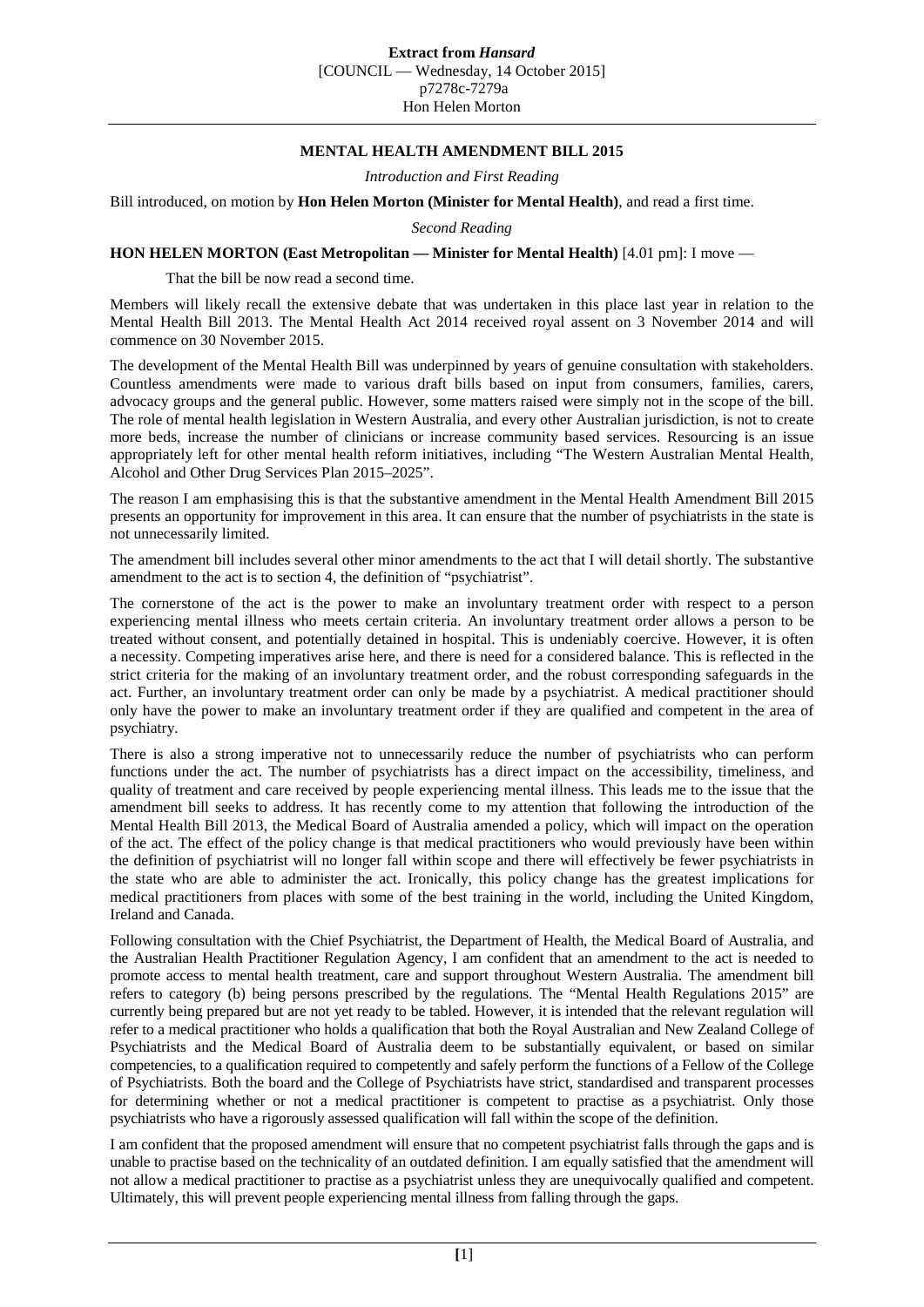## **MENTAL HEALTH AMENDMENT BILL 2015**

*Introduction and First Reading*

Bill introduced, on motion by **Hon Helen Morton (Minister for Mental Health)**, and read a first time.

*Second Reading*

## **HON HELEN MORTON (East Metropolitan — Minister for Mental Health)** [4.01 pm]: I move —

That the bill be now read a second time.

Members will likely recall the extensive debate that was undertaken in this place last year in relation to the Mental Health Bill 2013. The Mental Health Act 2014 received royal assent on 3 November 2014 and will commence on 30 November 2015.

The development of the Mental Health Bill was underpinned by years of genuine consultation with stakeholders. Countless amendments were made to various draft bills based on input from consumers, families, carers, advocacy groups and the general public. However, some matters raised were simply not in the scope of the bill. The role of mental health legislation in Western Australia, and every other Australian jurisdiction, is not to create more beds, increase the number of clinicians or increase community based services. Resourcing is an issue appropriately left for other mental health reform initiatives, including "The Western Australian Mental Health, Alcohol and Other Drug Services Plan 2015–2025".

The reason I am emphasising this is that the substantive amendment in the Mental Health Amendment Bill 2015 presents an opportunity for improvement in this area. It can ensure that the number of psychiatrists in the state is not unnecessarily limited.

The amendment bill includes several other minor amendments to the act that I will detail shortly. The substantive amendment to the act is to section 4, the definition of "psychiatrist".

The cornerstone of the act is the power to make an involuntary treatment order with respect to a person experiencing mental illness who meets certain criteria. An involuntary treatment order allows a person to be treated without consent, and potentially detained in hospital. This is undeniably coercive. However, it is often a necessity. Competing imperatives arise here, and there is need for a considered balance. This is reflected in the strict criteria for the making of an involuntary treatment order, and the robust corresponding safeguards in the act. Further, an involuntary treatment order can only be made by a psychiatrist. A medical practitioner should only have the power to make an involuntary treatment order if they are qualified and competent in the area of psychiatry.

There is also a strong imperative not to unnecessarily reduce the number of psychiatrists who can perform functions under the act. The number of psychiatrists has a direct impact on the accessibility, timeliness, and quality of treatment and care received by people experiencing mental illness. This leads me to the issue that the amendment bill seeks to address. It has recently come to my attention that following the introduction of the Mental Health Bill 2013, the Medical Board of Australia amended a policy, which will impact on the operation of the act. The effect of the policy change is that medical practitioners who would previously have been within the definition of psychiatrist will no longer fall within scope and there will effectively be fewer psychiatrists in the state who are able to administer the act. Ironically, this policy change has the greatest implications for medical practitioners from places with some of the best training in the world, including the United Kingdom, Ireland and Canada.

Following consultation with the Chief Psychiatrist, the Department of Health, the Medical Board of Australia, and the Australian Health Practitioner Regulation Agency, I am confident that an amendment to the act is needed to promote access to mental health treatment, care and support throughout Western Australia. The amendment bill refers to category (b) being persons prescribed by the regulations. The "Mental Health Regulations 2015" are currently being prepared but are not yet ready to be tabled. However, it is intended that the relevant regulation will refer to a medical practitioner who holds a qualification that both the Royal Australian and New Zealand College of Psychiatrists and the Medical Board of Australia deem to be substantially equivalent, or based on similar competencies, to a qualification required to competently and safely perform the functions of a Fellow of the College of Psychiatrists. Both the board and the College of Psychiatrists have strict, standardised and transparent processes for determining whether or not a medical practitioner is competent to practise as a psychiatrist. Only those psychiatrists who have a rigorously assessed qualification will fall within the scope of the definition.

I am confident that the proposed amendment will ensure that no competent psychiatrist falls through the gaps and is unable to practise based on the technicality of an outdated definition. I am equally satisfied that the amendment will not allow a medical practitioner to practise as a psychiatrist unless they are unequivocally qualified and competent. Ultimately, this will prevent people experiencing mental illness from falling through the gaps.